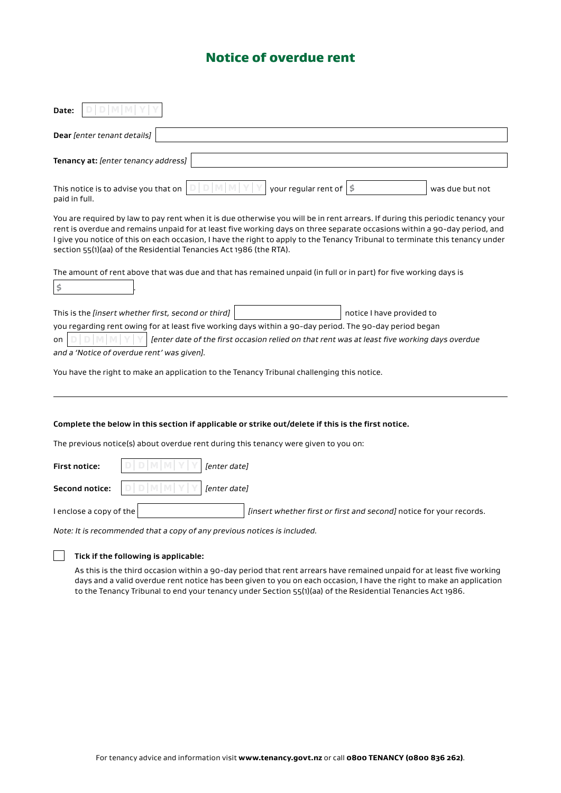## Notice of overdue rent

| Date:                                                                                                                                                                                                                                                                                                                                                                                                                                                              |  |  |  |
|--------------------------------------------------------------------------------------------------------------------------------------------------------------------------------------------------------------------------------------------------------------------------------------------------------------------------------------------------------------------------------------------------------------------------------------------------------------------|--|--|--|
| Dear [enter tenant details]                                                                                                                                                                                                                                                                                                                                                                                                                                        |  |  |  |
| Tenancy at: [enter tenancy address]                                                                                                                                                                                                                                                                                                                                                                                                                                |  |  |  |
| your regular rent of<br>Ś<br>This notice is to advise you that on<br>was due but not<br>paid in full.                                                                                                                                                                                                                                                                                                                                                              |  |  |  |
| You are required by law to pay rent when it is due otherwise you will be in rent arrears. If during this periodic tenancy your<br>rent is overdue and remains unpaid for at least five working days on three separate occasions within a 90-day period, and<br>I give you notice of this on each occasion, I have the right to apply to the Tenancy Tribunal to terminate this tenancy under<br>section 55(1)(aa) of the Residential Tenancies Act 1986 (the RTA). |  |  |  |
| The amount of rent above that was due and that has remained unpaid (in full or in part) for five working days is<br>\$                                                                                                                                                                                                                                                                                                                                             |  |  |  |
| This is the [insert whether first, second or third]<br>notice I have provided to                                                                                                                                                                                                                                                                                                                                                                                   |  |  |  |
| you regarding rent owing for at least five working days within a 90-day period. The 90-day period began                                                                                                                                                                                                                                                                                                                                                            |  |  |  |
| [enter date of the first occasion relied on that rent was at least five working days overdue<br>on<br>and a 'Notice of overdue rent' was given].                                                                                                                                                                                                                                                                                                                   |  |  |  |
| You have the right to make an application to the Tenancy Tribunal challenging this notice.                                                                                                                                                                                                                                                                                                                                                                         |  |  |  |
|                                                                                                                                                                                                                                                                                                                                                                                                                                                                    |  |  |  |
| Complete the below in this section if applicable or strike out/delete if this is the first notice.                                                                                                                                                                                                                                                                                                                                                                 |  |  |  |
| The previous notice(s) about overdue rent during this tenancy were given to you on:                                                                                                                                                                                                                                                                                                                                                                                |  |  |  |
| [enter date]<br><b>First notice:</b>                                                                                                                                                                                                                                                                                                                                                                                                                               |  |  |  |
| <b>Second notice:</b><br>[enter date]                                                                                                                                                                                                                                                                                                                                                                                                                              |  |  |  |
| I enclose a copy of the<br>[insert whether first or first and second] notice for your records.                                                                                                                                                                                                                                                                                                                                                                     |  |  |  |
| Note: It is recommended that a cony of any previous notices is included                                                                                                                                                                                                                                                                                                                                                                                            |  |  |  |

*Note: It is recommended that a copy of any previous notices is included.*

## **Tick if the following is applicable:**

As this is the third occasion within a 90-day period that rent arrears have remained unpaid for at least five working days and a valid overdue rent notice has been given to you on each occasion, I have the right to make an application to the Tenancy Tribunal to end your tenancy under Section 55(1)(aa) of the Residential Tenancies Act 1986.